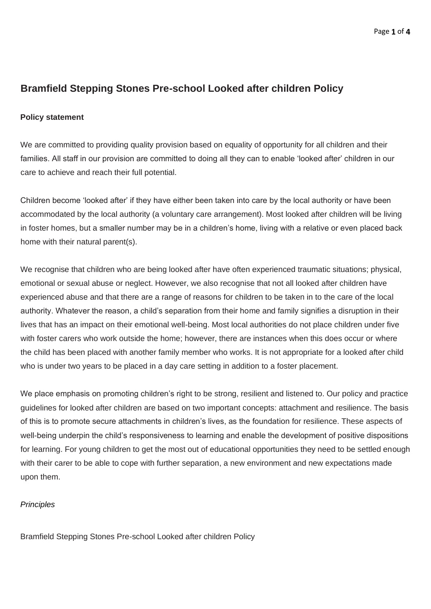## **Bramfield Stepping Stones Pre-school Looked after children Policy**

## **Policy statement**

We are committed to providing quality provision based on equality of opportunity for all children and their families. All staff in our provision are committed to doing all they can to enable 'looked after' children in our care to achieve and reach their full potential.

Children become 'looked after' if they have either been taken into care by the local authority or have been accommodated by the local authority (a voluntary care arrangement). Most looked after children will be living in foster homes, but a smaller number may be in a children's home, living with a relative or even placed back home with their natural parent(s).

We recognise that children who are being looked after have often experienced traumatic situations; physical, emotional or sexual abuse or neglect. However, we also recognise that not all looked after children have experienced abuse and that there are a range of reasons for children to be taken in to the care of the local authority. Whatever the reason, a child's separation from their home and family signifies a disruption in their lives that has an impact on their emotional well-being. Most local authorities do not place children under five with foster carers who work outside the home; however, there are instances when this does occur or where the child has been placed with another family member who works. It is not appropriate for a looked after child who is under two years to be placed in a day care setting in addition to a foster placement.

We place emphasis on promoting children's right to be strong, resilient and listened to. Our policy and practice guidelines for looked after children are based on two important concepts: attachment and resilience. The basis of this is to promote secure attachments in children's lives, as the foundation for resilience. These aspects of well-being underpin the child's responsiveness to learning and enable the development of positive dispositions for learning. For young children to get the most out of educational opportunities they need to be settled enough with their carer to be able to cope with further separation, a new environment and new expectations made upon them.

## *Principles*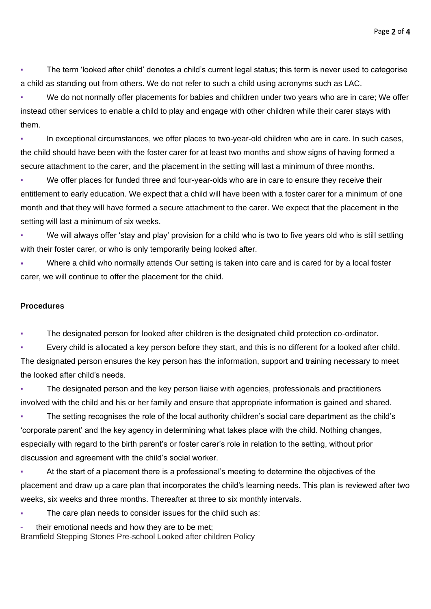The term 'looked after child' denotes a child's current legal status; this term is never used to categorise a child as standing out from others. We do not refer to such a child using acronyms such as LAC.

We do not normally offer placements for babies and children under two years who are in care; We offer instead other services to enable a child to play and engage with other children while their carer stays with them.

In exceptional circumstances, we offer places to two-year-old children who are in care. In such cases, the child should have been with the foster carer for at least two months and show signs of having formed a secure attachment to the carer, and the placement in the setting will last a minimum of three months.

We offer places for funded three and four-year-olds who are in care to ensure they receive their entitlement to early education. We expect that a child will have been with a foster carer for a minimum of one month and that they will have formed a secure attachment to the carer. We expect that the placement in the setting will last a minimum of six weeks.

We will always offer 'stay and play' provision for a child who is two to five years old who is still settling with their foster carer, or who is only temporarily being looked after.

Where a child who normally attends Our setting is taken into care and is cared for by a local foster carer, we will continue to offer the placement for the child.

## **Procedures**

The designated person for looked after children is the designated child protection co-ordinator.

Every child is allocated a key person before they start, and this is no different for a looked after child. The designated person ensures the key person has the information, support and training necessary to meet the looked after child's needs.

The designated person and the key person liaise with agencies, professionals and practitioners involved with the child and his or her family and ensure that appropriate information is gained and shared.

The setting recognises the role of the local authority children's social care department as the child's 'corporate parent' and the key agency in determining what takes place with the child. Nothing changes, especially with regard to the birth parent's or foster carer's role in relation to the setting, without prior discussion and agreement with the child's social worker.

At the start of a placement there is a professional's meeting to determine the objectives of the placement and draw up a care plan that incorporates the child's learning needs. This plan is reviewed after two weeks, six weeks and three months. Thereafter at three to six monthly intervals.

The care plan needs to consider issues for the child such as:

**-** their emotional needs and how they are to be met;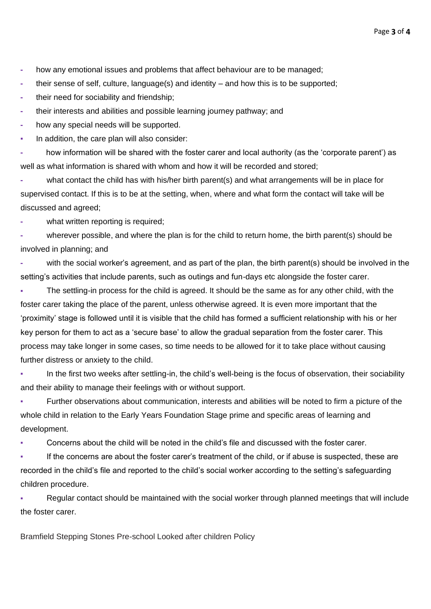**-** how any emotional issues and problems that affect behaviour are to be managed;

**-** their sense of self, culture, language(s) and identity – and how this is to be supported;

**-** their need for sociability and friendship;

**-** their interests and abilities and possible learning journey pathway; and

**-** how any special needs will be supported.

In addition, the care plan will also consider:

**-** how information will be shared with the foster carer and local authority (as the 'corporate parent') as well as what information is shared with whom and how it will be recorded and stored;

**-** what contact the child has with his/her birth parent(s) and what arrangements will be in place for supervised contact. If this is to be at the setting, when, where and what form the contact will take will be discussed and agreed;

**-** what written reporting is required;

**-** wherever possible, and where the plan is for the child to return home, the birth parent(s) should be involved in planning; and

**-** with the social worker's agreement, and as part of the plan, the birth parent(s) should be involved in the setting's activities that include parents, such as outings and fun-days etc alongside the foster carer.

The settling-in process for the child is agreed. It should be the same as for any other child, with the foster carer taking the place of the parent, unless otherwise agreed. It is even more important that the 'proximity' stage is followed until it is visible that the child has formed a sufficient relationship with his or her key person for them to act as a 'secure base' to allow the gradual separation from the foster carer. This process may take longer in some cases, so time needs to be allowed for it to take place without causing further distress or anxiety to the child.

In the first two weeks after settling-in, the child's well-being is the focus of observation, their sociability and their ability to manage their feelings with or without support.

Further observations about communication, interests and abilities will be noted to firm a picture of the whole child in relation to the Early Years Foundation Stage prime and specific areas of learning and development.

Concerns about the child will be noted in the child's file and discussed with the foster carer.

If the concerns are about the foster carer's treatment of the child, or if abuse is suspected, these are recorded in the child's file and reported to the child's social worker according to the setting's safeguarding children procedure.

Regular contact should be maintained with the social worker through planned meetings that will include the foster carer.